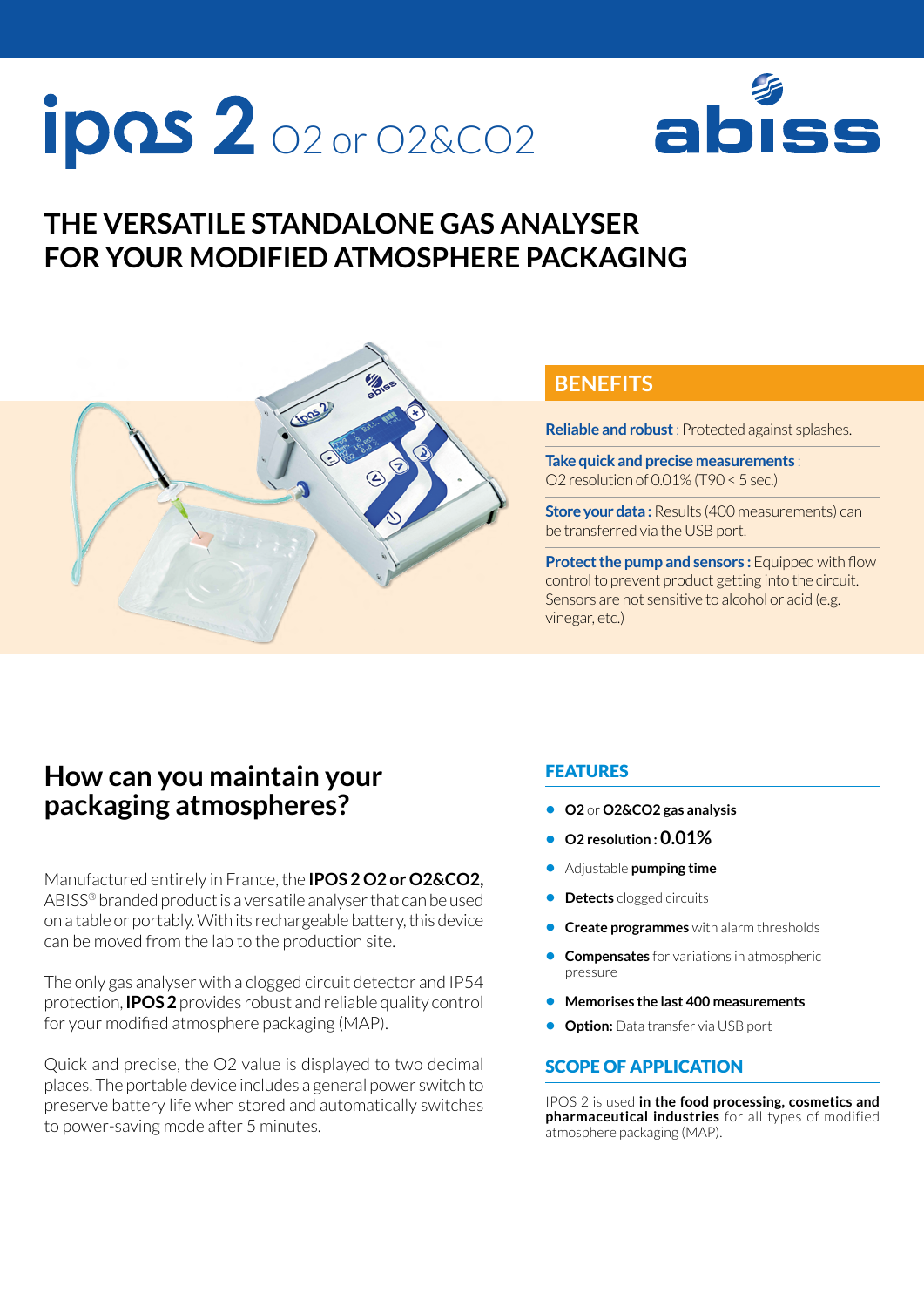# $ipos 2$  02 or 02&CO2



# **THE VERSATILE STANDALONE GAS ANALYSER FOR YOUR MODIFIED ATMOSPHERE PACKAGING**



## **BENEFITS**

**Reliable and robust** : Protected against splashes.

**Take quick and precise measurements** : O2 resolution of 0.01% (T90 < 5 sec.)

**Store your data:** Results (400 measurements) can be transferred via the USB port.

**Protect the pump and sensors : Equipped with flow** control to prevent product getting into the circuit. Sensors are not sensitive to alcohol or acid (e.g. vinegar, etc.)

# **How can you maintain your packaging atmospheres?**

Manufactured entirely in France, the **IPOS 2 O2 or O2&CO2,**  ABISS® branded product is a versatile analyser that can be used on a table or portably. With its rechargeable battery, this device can be moved from the lab to the production site.

The only gas analyser with a clogged circuit detector and IP54 protection, **IPOS 2** provides robust and reliable quality control for your modified atmosphere packaging (MAP).

Quick and precise, the O2 value is displayed to two decimal places. The portable device includes a general power switch to preserve battery life when stored and automatically switches to power-saving mode after 5 minutes.

#### FEATURES

- **• O2** or **O2&CO2 gas analysis**
- **• O2 resolution : 0.01%**
- **•** Adjustable **pumping time**
- **• Detects** clogged circuits
- **• Create programmes** with alarm thresholds
- **• Compensates** for variations in atmospheric pressure
- **• Memorises the last 400 measurements**
- **• Option:** Data transfer via USB port

#### SCOPE OF APPLICATION

IPOS 2 is used **in the food processing, cosmetics and pharmaceutical industries** for all types of modified atmosphere packaging (MAP).